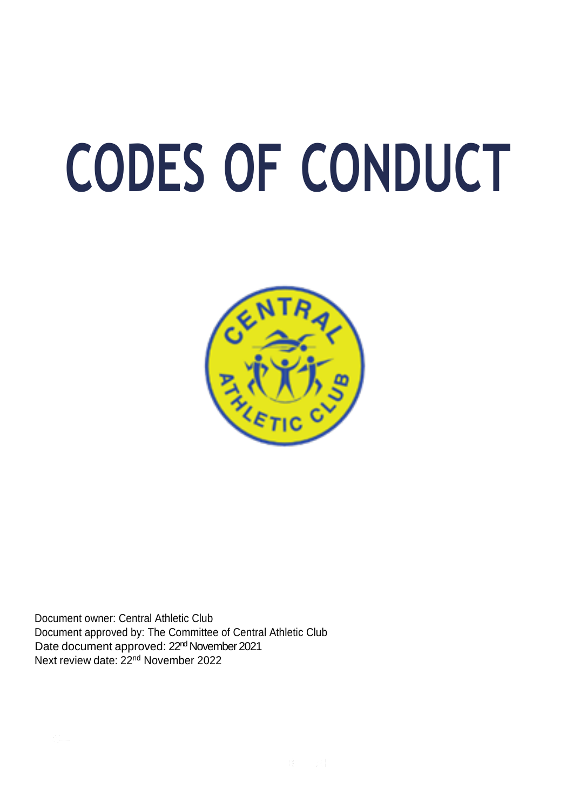# **CODES OF CONDUCT**



Document owner: Central Athletic Club Document approved by: The Committee of Central Athletic Club Date document approved: 22<sup>nd</sup> November 2021 Next review date: 22<sup>nd</sup> November 2022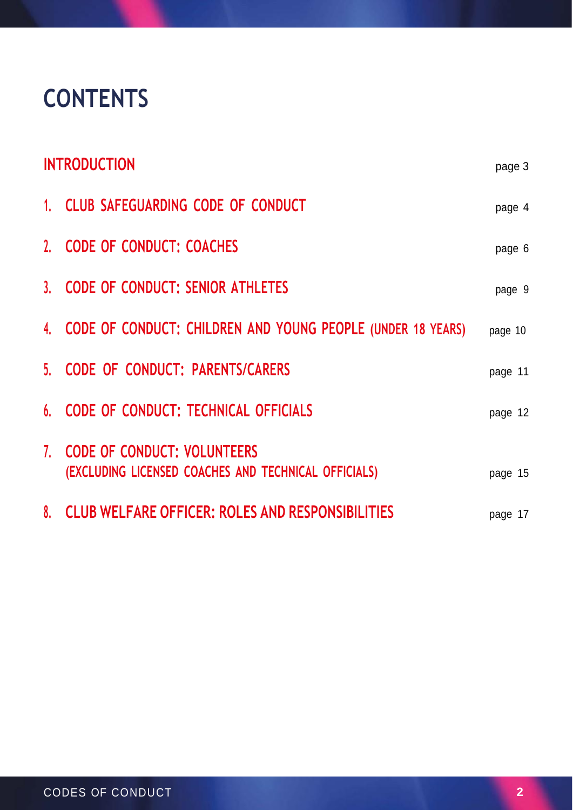# **CONTENTS**

| <b>INTRODUCTION</b> |                                                                                        | page 3  |
|---------------------|----------------------------------------------------------------------------------------|---------|
|                     | 1. CLUB SAFEGUARDING CODE OF CONDUCT                                                   | page 4  |
|                     | 2. CODE OF CONDUCT: COACHES                                                            | page 6  |
|                     | 3. CODE OF CONDUCT: SENIOR ATHLETES                                                    | page 9  |
|                     | 4. CODE OF CONDUCT: CHILDREN AND YOUNG PEOPLE (UNDER 18 YEARS)                         | page 10 |
|                     | 5. CODE OF CONDUCT: PARENTS/CARERS                                                     | page 11 |
|                     | 6. CODE OF CONDUCT: TECHNICAL OFFICIALS                                                | page 12 |
|                     | 7. CODE OF CONDUCT: VOLUNTEERS<br>(EXCLUDING LICENSED COACHES AND TECHNICAL OFFICIALS) | page 15 |
|                     | 8. CLUB WELFARE OFFICER: ROLES AND RESPONSIBILITIES                                    | page 17 |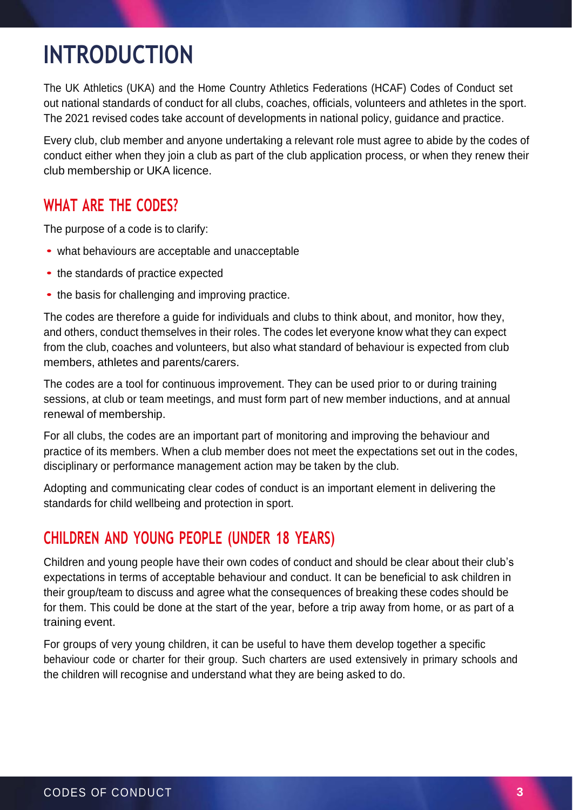# **INTRODUCTION**

The UK Athletics (UKA) and the Home Country Athletics Federations (HCAF) Codes of Conduct set out national standards of conduct for all clubs, coaches, officials, volunteers and athletes in the sport. The 2021 revised codes take account of developments in national policy, guidance and practice.

Every club, club member and anyone undertaking a relevant role must agree to abide by the codes of conduct either when they join a club as part of the club application process, or when they renew their club membership or UKA licence.

## **WHAT ARE THE CODES?**

The purpose of a code is to clarify:

- what behaviours are acceptable and unacceptable
- the standards of practice expected
- the basis for challenging and improving practice.

The codes are therefore a guide for individuals and clubs to think about, and monitor, how they, and others, conduct themselves in their roles. The codes let everyone know what they can expect from the club, coaches and volunteers, but also what standard of behaviour is expected from club members, athletes and parents/carers.

The codes are a tool for continuous improvement. They can be used prior to or during training sessions, at club or team meetings, and must form part of new member inductions, and at annual renewal of membership.

For all clubs, the codes are an important part of monitoring and improving the behaviour and practice of its members. When a club member does not meet the expectations set out in the codes, disciplinary or performance management action may be taken by the club.

Adopting and communicating clear codes of conduct is an important element in delivering the standards for child wellbeing and protection in sport.

## **CHILDREN AND YOUNG PEOPLE (UNDER 18 YEARS)**

Children and young people have their own codes of conduct and should be clear about their club's expectations in terms of acceptable behaviour and conduct. It can be beneficial to ask children in their group/team to discuss and agree what the consequences of breaking these codes should be for them. This could be done at the start of the year, before a trip away from home, or as part of a training event.

For groups of very young children, it can be useful to have them develop together a specific behaviour code or charter for their group. Such charters are used extensively in primary schools and the children will recognise and understand what they are being asked to do.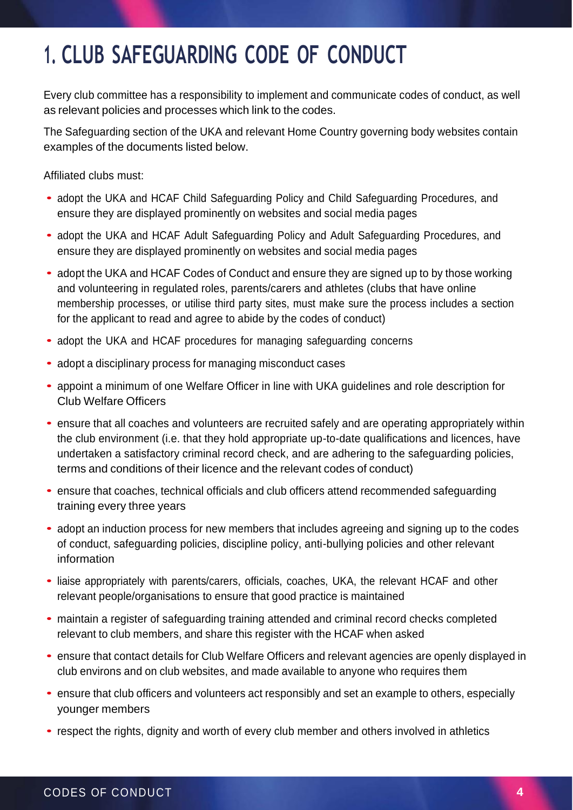# **1. CLUB SAFEGUARDING CODE OF CONDUCT**

Every club committee has a responsibility to implement and communicate codes of conduct, as well as relevant policies and processes which link to the codes.

The Safeguarding section of the UKA and relevant Home Country governing body websites contain examples of the documents listed below.

Affiliated clubs must:

- adopt the UKA and HCAF Child Safeguarding Policy and Child Safeguarding Procedures, and ensure they are displayed prominently on websites and social media pages
- adopt the UKA and HCAF Adult Safeguarding Policy and Adult Safeguarding Procedures, and ensure they are displayed prominently on websites and social media pages
- adopt the UKA and HCAF Codes of Conduct and ensure they are signed up to by those working and volunteering in regulated roles, parents/carers and athletes (clubs that have online membership processes, or utilise third party sites, must make sure the process includes a section for the applicant to read and agree to abide by the codes of conduct)
- adopt the UKA and HCAF procedures for managing safeguarding concerns
- adopt <sup>a</sup> disciplinary process for managing misconduct cases
- appoint <sup>a</sup> minimum of one Welfare Officer in line with UKA guidelines and role description for Club Welfare Officers
- ensure that all coaches and volunteers are recruited safely and are operating appropriately within the club environment (i.e. that they hold appropriate up-to-date qualifications and licences, have undertaken a satisfactory criminal record check, and are adhering to the safeguarding policies, terms and conditions of their licence and the relevant codes of conduct)
- ensure that coaches, technical officials and club officers attend recommended safeguarding training every three years
- adopt an induction process for new members that includes agreeing and signing up to the codes of conduct, safeguarding policies, discipline policy, anti-bullying policies and other relevant information
- liaise appropriately with parents/carers, officials, coaches, UKA, the relevant HCAF and other relevant people/organisations to ensure that good practice is maintained
- maintain a register of safeguarding training attended and criminal record checks completed relevant to club members, and share this register with the HCAF when asked
- ensure that contact details for Club Welfare Officers and relevant agencies are openly displayed in club environs and on club websites, and made available to anyone who requires them
- ensure that club officers and volunteers act responsibly and set an example to others, especially younger members
- respect the rights, dignity and worth of every club member and others involved in athletics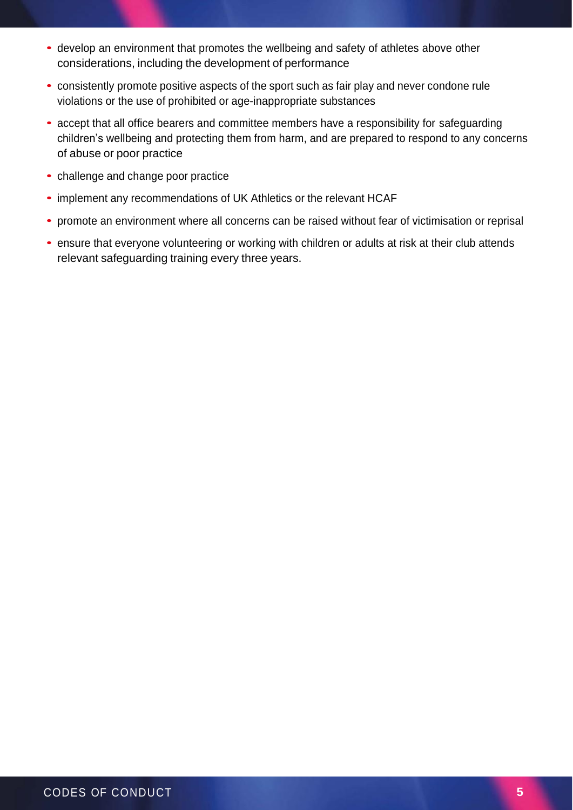- develop an environment that promotes the wellbeing and safety of athletes above other considerations, including the development of performance
- consistently promote positive aspects of the sport such as fair play and never condone rule violations or the use of prohibited or age-inappropriate substances
- accept that all office bearers and committee members have a responsibility for safeguarding children's wellbeing and protecting them from harm, and are prepared to respond to any concerns of abuse or poor practice
- challenge and change poor practice
- implement any recommendations of UK Athletics or the relevant HCAF
- promote an environment where all concerns can be raised without fear of victimisation or reprisal
- ensure that everyone volunteering or working with children or adults at risk at their club attends relevant safeguarding training every three years.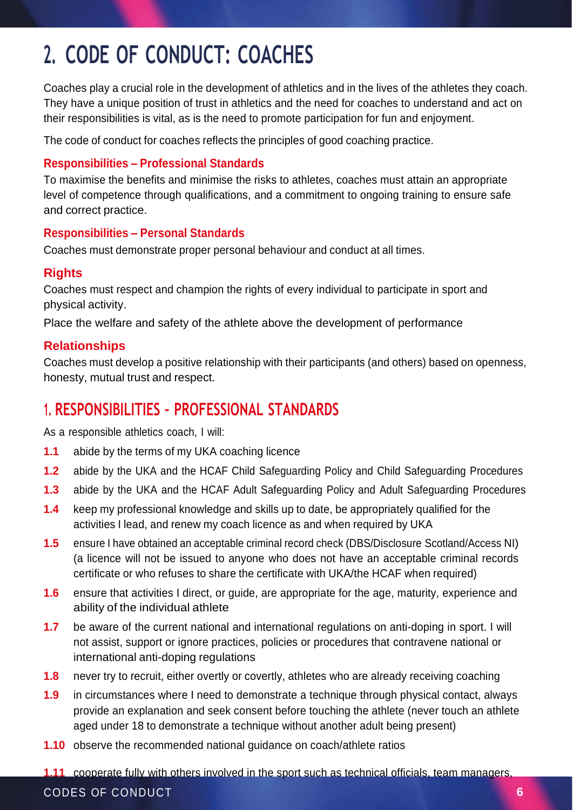# **2. CODE OF CONDUCT: COACHES**

Coaches play a crucial role in the development of athletics and in the lives of the athletes they coach. They have a unique position of trust in athletics and the need for coaches to understand and act on their responsibilities is vital, as is the need to promote participation for fun and enjoyment.

The code of conduct for coaches reflects the principles of good coaching practice.

#### **Responsibilities – Professional Standards**

To maximise the benefits and minimise the risks to athletes, coaches must attain an appropriate level of competence through qualifications, and a commitment to ongoing training to ensure safe and correct practice.

#### **Responsibilities – Personal Standards**

Coaches must demonstrate proper personal behaviour and conduct at all times.

#### **Rights**

Coaches must respect and champion the rights of every individual to participate in sport and physical activity.

Place the welfare and safety of the athlete above the development of performance

#### **Relationships**

Coaches must develop a positive relationship with their participants (and others) based on openness, honesty, mutual trust and respect.

## **1. RESPONSIBILITIES – PROFESSIONAL STANDARDS**

As a responsible athletics coach, I will:

- **1.1** abide by the terms of my UKA coaching licence
- **1.2** abide by the UKA and the HCAF Child Safeguarding Policy and Child Safeguarding Procedures
- **1.3** abide by the UKA and the HCAF Adult Safeguarding Policy and Adult Safeguarding Procedures
- **1.4** keep my professional knowledge and skills up to date, be appropriately qualified for the activities I lead, and renew my coach licence as and when required by UKA
- **1.5** ensure I have obtained an acceptable criminal record check (DBS/Disclosure Scotland/Access NI) (a licence will not be issued to anyone who does not have an acceptable criminal records certificate or who refuses to share the certificate with UKA/the HCAF when required)
- **1.6** ensure that activities I direct, or guide, are appropriate for the age, maturity, experience and ability of the individual athlete
- **1.7** be aware of the current national and international regulations on anti-doping in sport. I will not assist, support or ignore practices, policies or procedures that contravene national or international anti-doping regulations
- **1.8** never try to recruit, either overtly or covertly, athletes who are already receiving coaching
- **1.9** in circumstances where I need to demonstrate a technique through physical contact, always provide an explanation and seek consent before touching the athlete (never touch an athlete aged under 18 to demonstrate a technique without another adult being present)
- **1.10** observe the recommended national guidance on coach/athlete ratios
- **1.11** cooperate fully with others involved in the sport such as technical officials, team managers,

#### CODES OF CONDUCT **6**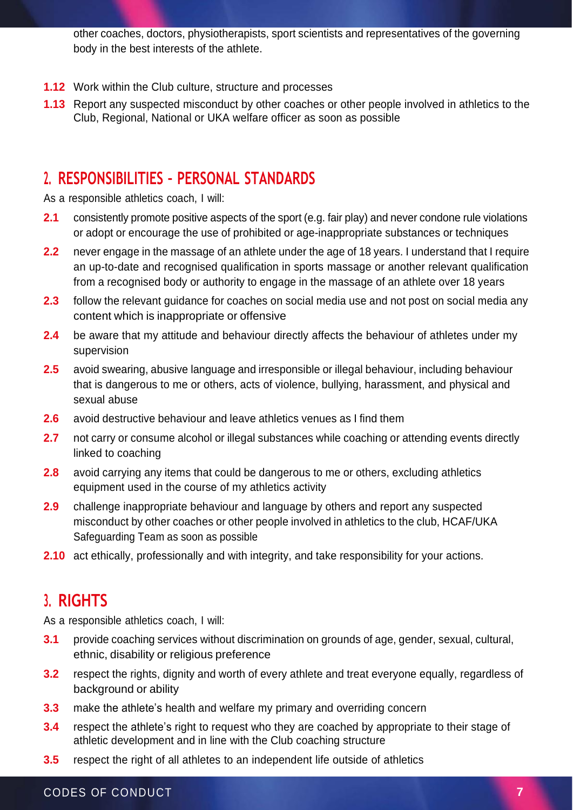other coaches, doctors, physiotherapists, sport scientists and representatives of the governing body in the best interests of the athlete.

- **1.12** Work within the Club culture, structure and processes
- **1.13** Report any suspected misconduct by other coaches or other people involved in athletics to the Club, Regional, National or UKA welfare officer as soon as possible

#### **2. RESPONSIBILITIES – PERSONAL STANDARDS**

As a responsible athletics coach, I will:

- **2.1** consistently promote positive aspects of the sport (e.g. fair play) and never condone rule violations or adopt or encourage the use of prohibited or age-inappropriate substances or techniques
- **2.2** never engage in the massage of an athlete under the age of 18 years. I understand that I require an up-to-date and recognised qualification in sports massage or another relevant qualification from a recognised body or authority to engage in the massage of an athlete over 18 years
- **2.3** follow the relevant guidance for coaches on social media use and not post on social media any content which is inappropriate or offensive
- **2.4** be aware that my attitude and behaviour directly affects the behaviour of athletes under my supervision
- **2.5** avoid swearing, abusive language and irresponsible or illegal behaviour, including behaviour that is dangerous to me or others, acts of violence, bullying, harassment, and physical and sexual abuse
- **2.6** avoid destructive behaviour and leave athletics venues as I find them
- **2.7** not carry or consume alcohol or illegal substances while coaching or attending events directly linked to coaching
- **2.8** avoid carrying any items that could be dangerous to me or others, excluding athletics equipment used in the course of my athletics activity
- **2.9** challenge inappropriate behaviour and language by others and report any suspected misconduct by other coaches or other people involved in athletics to the club, HCAF/UKA Safeguarding Team as soon as possible
- **2.10** act ethically, professionally and with integrity, and take responsibility for your actions.

#### **3. RIGHTS**

As a responsible athletics coach, I will:

- **3.1** provide coaching services without discrimination on grounds of age, gender, sexual, cultural, ethnic, disability or religious preference
- **3.2** respect the rights, dignity and worth of every athlete and treat everyone equally, regardless of background or ability
- **3.3** make the athlete's health and welfare my primary and overriding concern
- **3.4** respect the athlete's right to request who they are coached by appropriate to their stage of athletic development and in line with the Club coaching structure
- **3.5** respect the right of all athletes to an independent life outside of athletics

#### CODES OF CONDUCT **7**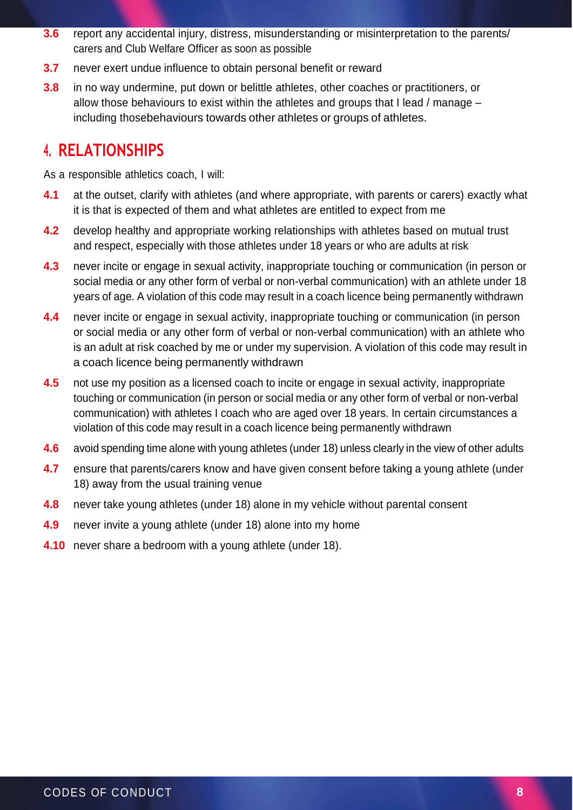- **3.6** report any accidental injury, distress, misunderstanding or misinterpretation to the parents/ carers and Club Welfare Officer as soon as possible
- **3.7** never exert undue influence to obtain personal benefit or reward
- **3.8** in no way undermine, put down or belittle athletes, other coaches or practitioners, or allow those behaviours to exist within the athletes and groups that I lead / manage – including thosebehaviours towards other athletes or groups of athletes.

#### **4. RELATIONSHIPS**

As a responsible athletics coach, I will:

- **4.1** at the outset, clarify with athletes (and where appropriate, with parents or carers) exactly what it is that is expected of them and what athletes are entitled to expect from me
- **4.2** develop healthy and appropriate working relationships with athletes based on mutual trust and respect, especially with those athletes under 18 years or who are adults at risk
- **4.3** never incite or engage in sexual activity, inappropriate touching or communication (in person or social media or any other form of verbal or non-verbal communication) with an athlete under 18 years of age. A violation of this code may result in a coach licence being permanently withdrawn
- **4.4** never incite or engage in sexual activity, inappropriate touching or communication (in person or social media or any other form of verbal or non-verbal communication) with an athlete who is an adult at risk coached by me or under my supervision. A violation of this code may result in a coach licence being permanently withdrawn
- **4.5** not use my position as a licensed coach to incite or engage in sexual activity, inappropriate touching or communication (in person or social media or any other form of verbal or non-verbal communication) with athletes I coach who are aged over 18 years. In certain circumstances a violation of this code may result in a coach licence being permanently withdrawn
- **4.6** avoid spending time alone with young athletes (under 18) unless clearly in the view of other adults
- **4.7** ensure that parents/carers know and have given consent before taking a young athlete (under 18) away from the usual training venue
- **4.8** never take young athletes (under 18) alone in my vehicle without parental consent
- **4.9** never invite a young athlete (under 18) alone into my home
- **4.10** never share a bedroom with a young athlete (under 18).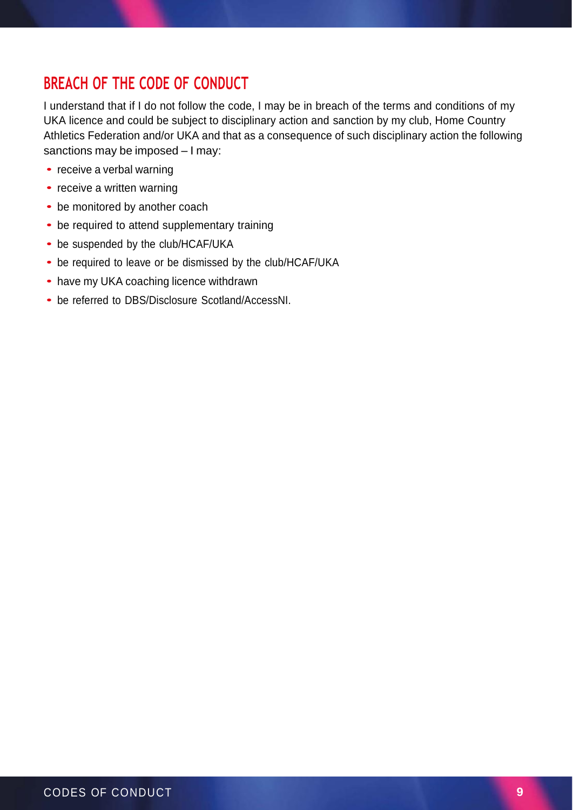## **BREACH OF THE CODE OF CONDUCT**

I understand that if I do not follow the code, I may be in breach of the terms and conditions of my UKA licence and could be subject to disciplinary action and sanction by my club, Home Country Athletics Federation and/or UKA and that as a consequence of such disciplinary action the following sanctions may be imposed – I may:

- receive a verbal warning
- receive a written warning
- be monitored by another coach
- be required to attend supplementary training
- be suspended by the club/HCAF/UKA
- be required to leave or be dismissed by the club/HCAF/UKA
- have my UKA coaching licence withdrawn
- be referred to DBS/Disclosure Scotland/AccessNI.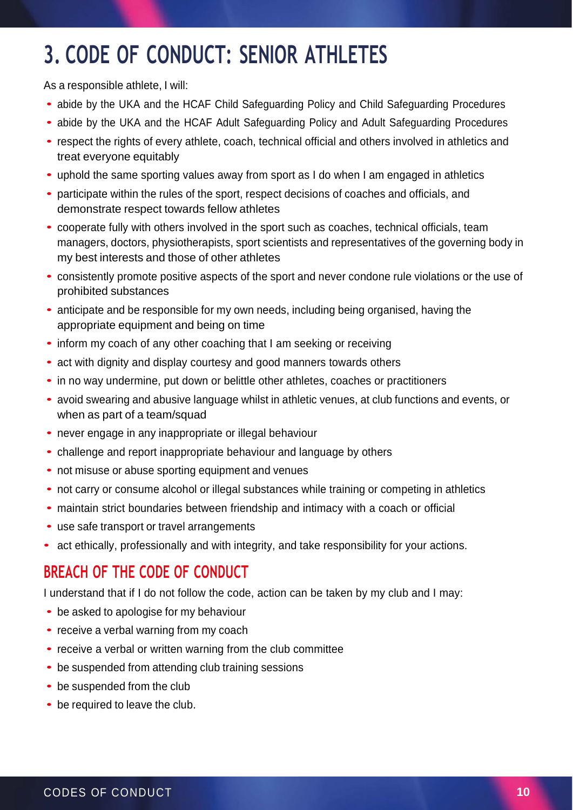# **3. CODE OF CONDUCT: SENIOR ATHLETES**

As a responsible athlete, I will:

- abide by the UKA and the HCAF Child Safeguarding Policy and Child Safeguarding Procedures
- abide by the UKA and the HCAF Adult Safeguarding Policy and Adult Safeguarding Procedures
- respect the rights of every athlete, coach, technical official and others involved in athletics and treat everyone equitably
- uphold the same sporting values away from sport as <sup>I</sup> do when <sup>I</sup> am engaged in athletics
- participate within the rules of the sport, respect decisions of coaches and officials, and demonstrate respect towards fellow athletes
- cooperate fully with others involved in the sport such as coaches, technical officials, team managers, doctors, physiotherapists, sport scientists and representatives of the governing body in my best interests and those of other athletes
- consistently promote positive aspects of the sport and never condone rule violations or the use of prohibited substances
- anticipate and be responsible for my own needs, including being organised, having the appropriate equipment and being on time
- inform my coach of any other coaching that I am seeking or receiving
- act with dignity and display courtesy and good manners towards others
- in no way undermine, put down or belittle other athletes, coaches or practitioners
- avoid swearing and abusive language whilst in athletic venues, at club functions and events, or when as part of a team/squad
- never engage in any inappropriate or illegal behaviour
- challenge and report inappropriate behaviour and language by others
- not misuse or abuse sporting equipment and venues
- not carry or consume alcohol or illegal substances while training or competing in athletics
- maintain strict boundaries between friendship and intimacy with <sup>a</sup> coach or official
- use safe transport or travel arrangements
- act ethically, professionally and with integrity, and take responsibility for your actions.

## **BREACH OF THE CODE OF CONDUCT**

I understand that if I do not follow the code, action can be taken by my club and I may:

- be asked to apologise for my behaviour
- receive a verbal warning from my coach
- receive a verbal or written warning from the club committee
- be suspended from attending club training sessions
- be suspended from the club
- be required to leave the club.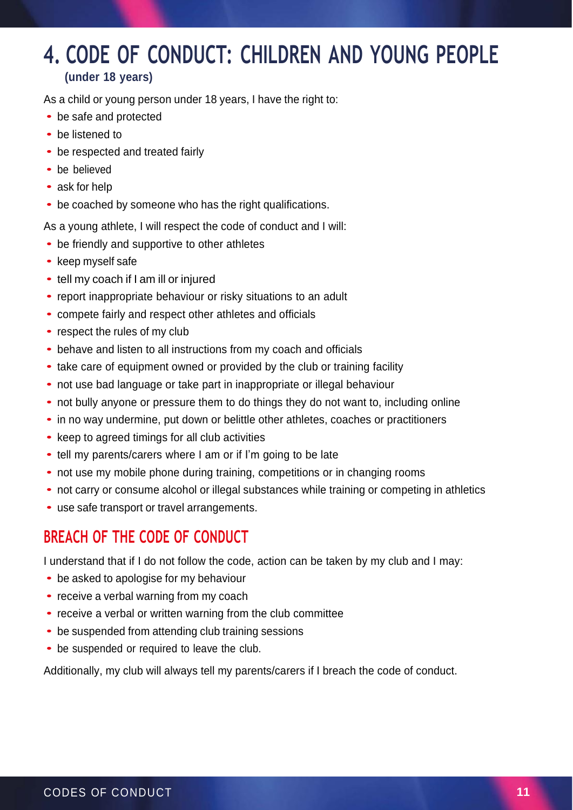## **4. CODE OF CONDUCT: CHILDREN AND YOUNG PEOPLE (under 18 years)**

As a child or young person under 18 years, I have the right to:

- be safe and protected
- be listened to
- be respected and treated fairly
- be believed
- ask for help
- be coached by someone who has the right qualifications.

As a young athlete, I will respect the code of conduct and I will:

- be friendly and supportive to other athletes
- keep myself safe
- tell my coach if I am ill or injured
- report inappropriate behaviour or risky situations to an adult
- compete fairly and respect other athletes and officials
- respect the rules of my club
- behave and listen to all instructions from my coach and officials
- take care of equipment owned or provided by the club or training facility
- not use bad language or take part in inappropriate or illegal behaviour
- not bully anyone or pressure them to do things they do not want to, including online
- in no way undermine, put down or belittle other athletes, coaches or practitioners
- keep to agreed timings for all club activities
- tell my parents/carers where I am or if I'm going to be late
- not use my mobile phone during training, competitions or in changing rooms
- not carry or consume alcohol or illegal substances while training or competing in athletics
- use safe transport or travel arrangements.

## **BREACH OF THE CODE OF CONDUCT**

I understand that if I do not follow the code, action can be taken by my club and I may:

- be asked to apologise for my behaviour
- receive a verbal warning from my coach
- receive a verbal or written warning from the club committee
- be suspended from attending club training sessions
- be suspended or required to leave the club.

Additionally, my club will always tell my parents/carers if I breach the code of conduct.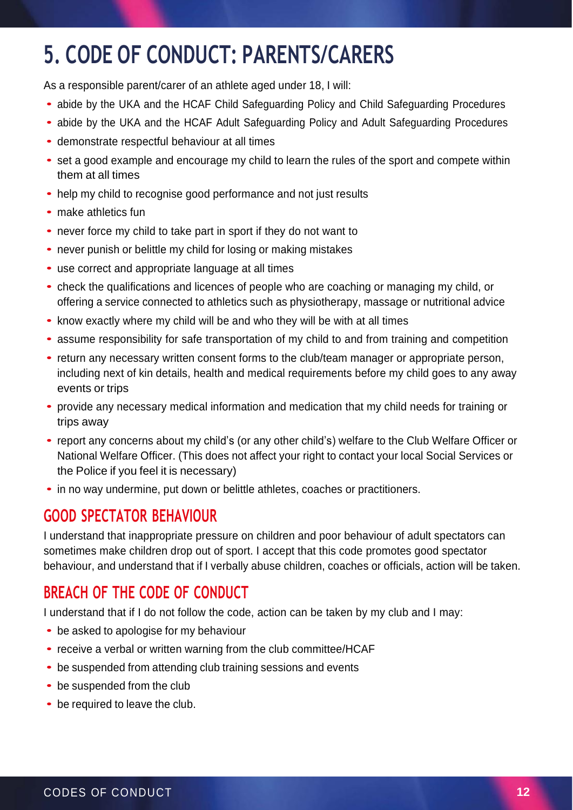# **5. CODE OF CONDUCT: PARENTS/CARERS**

As a responsible parent/carer of an athlete aged under 18, I will:

- abide by the UKA and the HCAF Child Safeguarding Policy and Child Safeguarding Procedures
- abide by the UKA and the HCAF Adult Safeguarding Policy and Adult Safeguarding Procedures
- demonstrate respectful behaviour at all times
- set <sup>a</sup> good example and encourage my child to learn the rules of the sport and compete within them at all times
- help my child to recognise good performance and not just results
- make athletics fun
- never force my child to take part in sport if they do not want to
- never punish or belittle my child for losing or making mistakes
- use correct and appropriate language at all times
- check the qualifications and licences of people who are coaching or managing my child, or offering a service connected to athletics such as physiotherapy, massage or nutritional advice
- know exactly where my child will be and who they will be with at all times
- assume responsibility for safe transportation of my child to and from training and competition
- return any necessary written consent forms to the club/team manager or appropriate person, including next of kin details, health and medical requirements before my child goes to any away events or trips
- provide any necessary medical information and medication that my child needs for training or trips away
- report any concerns about my child's (or any other child's) welfare to the Club Welfare Officer or National Welfare Officer. (This does not affect your right to contact your local Social Services or the Police if you feel it is necessary)
- in no way undermine, put down or belittle athletes, coaches or practitioners.

## **GOOD SPECTATOR BEHAVIOUR**

I understand that inappropriate pressure on children and poor behaviour of adult spectators can sometimes make children drop out of sport. I accept that this code promotes good spectator behaviour, and understand that if I verbally abuse children, coaches or officials, action will be taken.

## **BREACH OF THE CODE OF CONDUCT**

I understand that if I do not follow the code, action can be taken by my club and I may:

- be asked to apologise for my behaviour
- receive a verbal or written warning from the club committee/HCAF
- be suspended from attending club training sessions and events
- be suspended from the club
- be required to leave the club.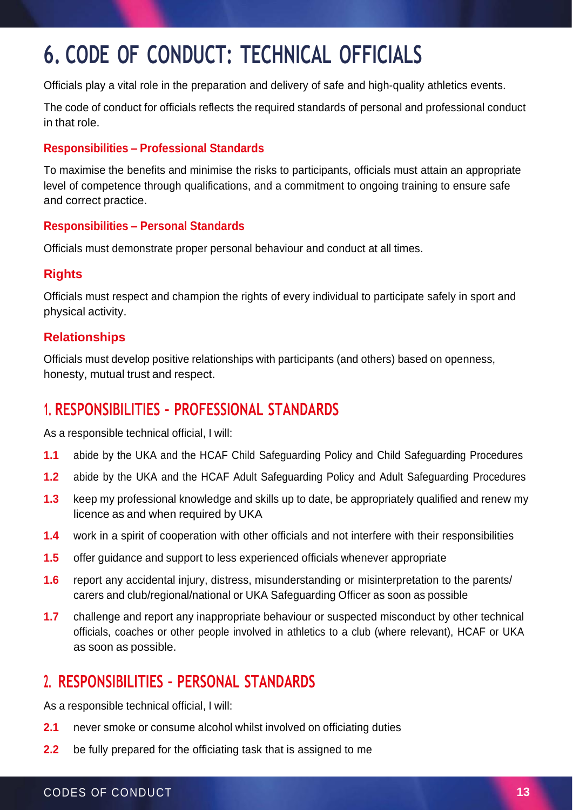# **6. CODE OF CONDUCT: TECHNICAL OFFICIALS**

Officials play a vital role in the preparation and delivery of safe and high-quality athletics events.

The code of conduct for officials reflects the required standards of personal and professional conduct in that role.

#### **Responsibilities – Professional Standards**

To maximise the benefits and minimise the risks to participants, officials must attain an appropriate level of competence through qualifications, and a commitment to ongoing training to ensure safe and correct practice.

#### **Responsibilities – Personal Standards**

Officials must demonstrate proper personal behaviour and conduct at all times.

#### **Rights**

Officials must respect and champion the rights of every individual to participate safely in sport and physical activity.

#### **Relationships**

Officials must develop positive relationships with participants (and others) based on openness, honesty, mutual trust and respect.

## **1. RESPONSIBILITIES – PROFESSIONAL STANDARDS**

As a responsible technical official, I will:

- **1.1** abide by the UKA and the HCAF Child Safeguarding Policy and Child Safeguarding Procedures
- **1.2** abide by the UKA and the HCAF Adult Safeguarding Policy and Adult Safeguarding Procedures
- **1.3** keep my professional knowledge and skills up to date, be appropriately qualified and renew my licence as and when required by UKA
- **1.4** work in a spirit of cooperation with other officials and not interfere with their responsibilities
- **1.5** offer guidance and support to less experienced officials whenever appropriate
- **1.6** report any accidental injury, distress, misunderstanding or misinterpretation to the parents/ carers and club/regional/national or UKA Safeguarding Officer as soon as possible
- **1.7** challenge and report any inappropriate behaviour or suspected misconduct by other technical officials, coaches or other people involved in athletics to a club (where relevant), HCAF or UKA as soon as possible.

## **2. RESPONSIBILITIES – PERSONAL STANDARDS**

As a responsible technical official, I will:

- **2.1** never smoke or consume alcohol whilst involved on officiating duties
- **2.2** be fully prepared for the officiating task that is assigned to me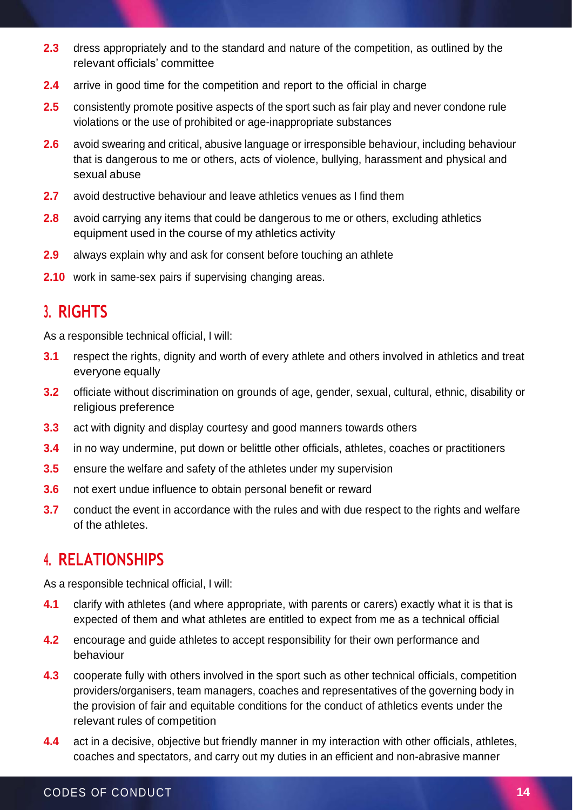- **2.3** dress appropriately and to the standard and nature of the competition, as outlined by the relevant officials' committee
- **2.4** arrive in good time for the competition and report to the official in charge
- **2.5** consistently promote positive aspects of the sport such as fair play and never condone rule violations or the use of prohibited or age-inappropriate substances
- **2.6** avoid swearing and critical, abusive language or irresponsible behaviour, including behaviour that is dangerous to me or others, acts of violence, bullying, harassment and physical and sexual abuse
- **2.7** avoid destructive behaviour and leave athletics venues as I find them
- **2.8** avoid carrying any items that could be dangerous to me or others, excluding athletics equipment used in the course of my athletics activity
- **2.9** always explain why and ask for consent before touching an athlete
- **2.10** work in same-sex pairs if supervising changing areas.

#### **3. RIGHTS**

As a responsible technical official, I will:

- **3.1** respect the rights, dignity and worth of every athlete and others involved in athletics and treat everyone equally
- **3.2** officiate without discrimination on grounds of age, gender, sexual, cultural, ethnic, disability or religious preference
- **3.3** act with dignity and display courtesy and good manners towards others
- **3.4** in no way undermine, put down or belittle other officials, athletes, coaches or practitioners
- **3.5** ensure the welfare and safety of the athletes under my supervision
- **3.6** not exert undue influence to obtain personal benefit or reward
- **3.7** conduct the event in accordance with the rules and with due respect to the rights and welfare of the athletes.

#### **4. RELATIONSHIPS**

As a responsible technical official, I will:

- **4.1** clarify with athletes (and where appropriate, with parents or carers) exactly what it is that is expected of them and what athletes are entitled to expect from me as a technical official
- **4.2** encourage and guide athletes to accept responsibility for their own performance and behaviour
- **4.3** cooperate fully with others involved in the sport such as other technical officials, competition providers/organisers, team managers, coaches and representatives of the governing body in the provision of fair and equitable conditions for the conduct of athletics events under the relevant rules of competition
- **4.4** act in a decisive, objective but friendly manner in my interaction with other officials, athletes, coaches and spectators, and carry out my duties in an efficient and non-abrasive manner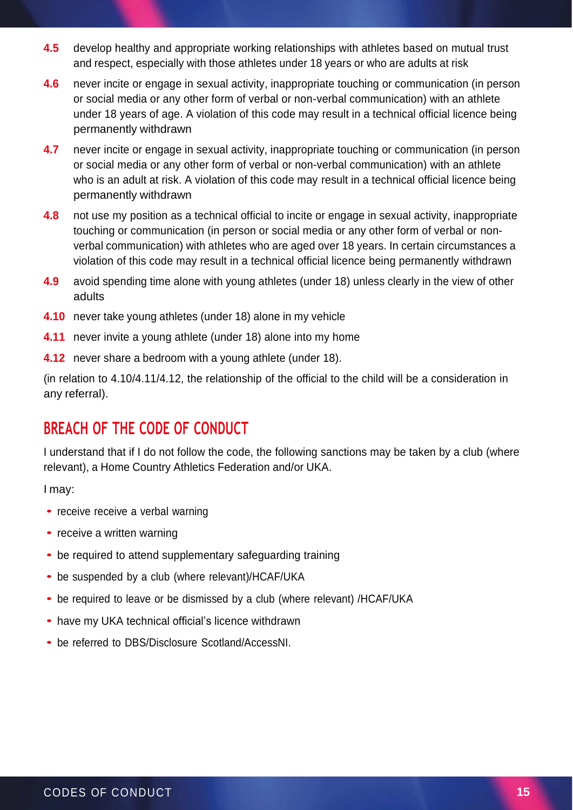- **4.5** develop healthy and appropriate working relationships with athletes based on mutual trust and respect, especially with those athletes under 18 years or who are adults at risk
- **4.6** never incite or engage in sexual activity, inappropriate touching or communication (in person or social media or any other form of verbal or non-verbal communication) with an athlete under 18 years of age. A violation of this code may result in a technical official licence being permanently withdrawn
- **4.7** never incite or engage in sexual activity, inappropriate touching or communication (in person or social media or any other form of verbal or non-verbal communication) with an athlete who is an adult at risk. A violation of this code may result in a technical official licence being permanently withdrawn
- **4.8** not use my position as a technical official to incite or engage in sexual activity, inappropriate touching or communication (in person or social media or any other form of verbal or nonverbal communication) with athletes who are aged over 18 years. In certain circumstances a violation of this code may result in a technical official licence being permanently withdrawn
- **4.9** avoid spending time alone with young athletes (under 18) unless clearly in the view of other adults
- **4.10** never take young athletes (under 18) alone in my vehicle
- **4.11** never invite a young athlete (under 18) alone into my home
- **4.12** never share a bedroom with a young athlete (under 18).

(in relation to 4.10/4.11/4.12, the relationship of the official to the child will be a consideration in any referral).

#### **BREACH OF THE CODE OF CONDUCT**

I understand that if I do not follow the code, the following sanctions may be taken by a club (where relevant), a Home Country Athletics Federation and/or UKA.

I may:

- receive receive a verbal warning
- receive a written warning
- be required to attend supplementary safeguarding training
- be suspended by a club (where relevant)/HCAF/UKA
- be required to leave or be dismissed by a club (where relevant) /HCAF/UKA
- have my UKA technical official's licence withdrawn
- be referred to DBS/Disclosure Scotland/AccessNI.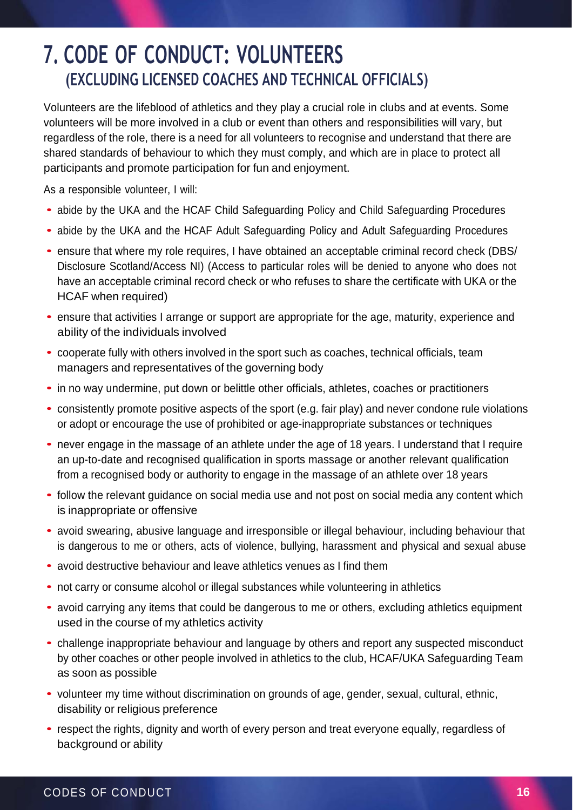# **7. CODE OF CONDUCT: VOLUNTEERS (EXCLUDING LICENSED COACHES AND TECHNICAL OFFICIALS)**

Volunteers are the lifeblood of athletics and they play a crucial role in clubs and at events. Some volunteers will be more involved in a club or event than others and responsibilities will vary, but regardless of the role, there is a need for all volunteers to recognise and understand that there are shared standards of behaviour to which they must comply, and which are in place to protect all participants and promote participation for fun and enjoyment.

As a responsible volunteer, I will:

- abide by the UKA and the HCAF Child Safeguarding Policy and Child Safeguarding Procedures
- abide by the UKA and the HCAF Adult Safeguarding Policy and Adult Safeguarding Procedures
- ensure that where my role requires, I have obtained an acceptable criminal record check (DBS/ Disclosure Scotland/Access NI) (Access to particular roles will be denied to anyone who does not have an acceptable criminal record check or who refuses to share the certificate with UKA or the HCAF when required)
- ensure that activities I arrange or support are appropriate for the age, maturity, experience and ability of the individuals involved
- cooperate fully with others involved in the sport such as coaches, technical officials, team managers and representatives of the governing body
- in no way undermine, put down or belittle other officials, athletes, coaches or practitioners
- consistently promote positive aspects of the sport (e.g. fair play) and never condone rule violations or adopt or encourage the use of prohibited or age-inappropriate substances or techniques
- never engage in the massage of an athlete under the age of 18 years. I understand that I require an up-to-date and recognised qualification in sports massage or another relevant qualification from a recognised body or authority to engage in the massage of an athlete over 18 years
- follow the relevant guidance on social media use and not post on social media any content which is inappropriate or offensive
- avoid swearing, abusive language and irresponsible or illegal behaviour, including behaviour that is dangerous to me or others, acts of violence, bullying, harassment and physical and sexual abuse
- avoid destructive behaviour and leave athletics venues as <sup>I</sup> find them
- not carry or consume alcohol or illegal substances while volunteering in athletics
- avoid carrying any items that could be dangerous to me or others, excluding athletics equipment used in the course of my athletics activity
- challenge inappropriate behaviour and language by others and report any suspected misconduct by other coaches or other people involved in athletics to the club, HCAF/UKA Safeguarding Team as soon as possible
- volunteer my time without discrimination on grounds of age, gender, sexual, cultural, ethnic, disability or religious preference
- respect the rights, dignity and worth of every person and treat everyone equally, regardless of background or ability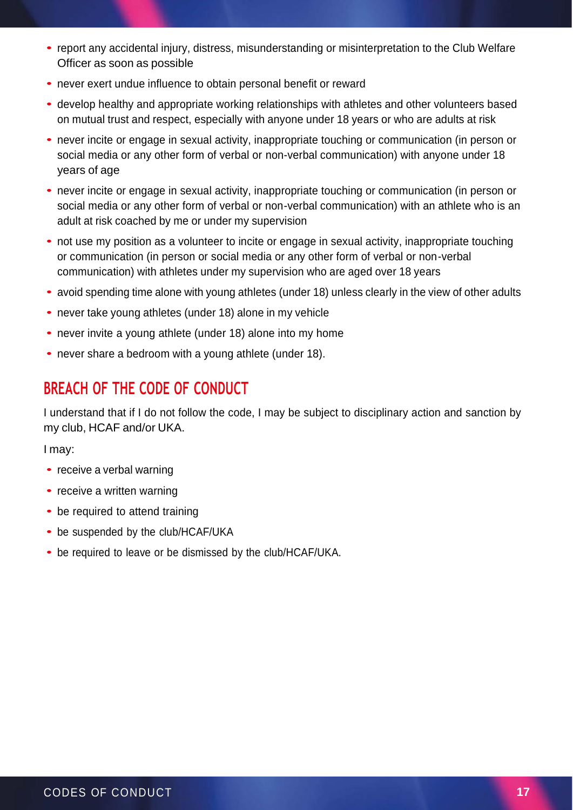- report any accidental injury, distress, misunderstanding or misinterpretation to the Club Welfare Officer as soon as possible
- never exert undue influence to obtain personal benefit or reward
- develop healthy and appropriate working relationships with athletes and other volunteers based on mutual trust and respect, especially with anyone under 18 years or who are adults at risk
- never incite or engage in sexual activity, inappropriate touching or communication (in person or social media or any other form of verbal or non-verbal communication) with anyone under 18 years of age
- never incite or engage in sexual activity, inappropriate touching or communication (in person or social media or any other form of verbal or non-verbal communication) with an athlete who is an adult at risk coached by me or under my supervision
- not use my position as a volunteer to incite or engage in sexual activity, inappropriate touching or communication (in person or social media or any other form of verbal or non-verbal communication) with athletes under my supervision who are aged over 18 years
- avoid spending time alone with young athletes (under 18) unless clearly in the view of other adults
- never take young athletes (under 18) alone in my vehicle
- never invite a young athlete (under 18) alone into my home
- never share a bedroom with a young athlete (under 18).

#### **BREACH OF THE CODE OF CONDUCT**

I understand that if I do not follow the code, I may be subject to disciplinary action and sanction by my club, HCAF and/or UKA.

I may:

- receive a verbal warning
- receive a written warning
- be required to attend training
- be suspended by the club/HCAF/UKA
- be required to leave or be dismissed by the club/HCAF/UKA.